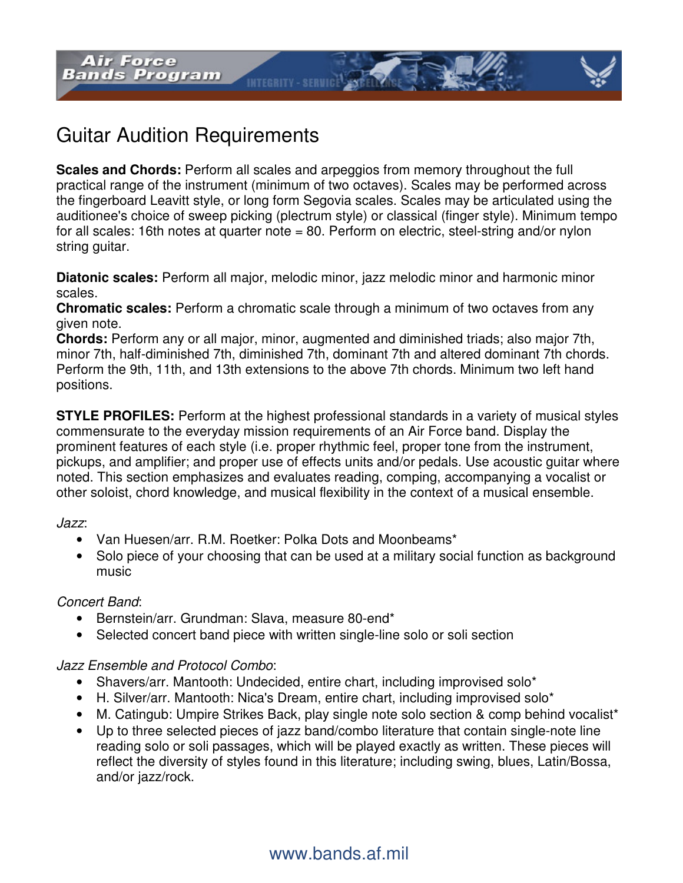

**Scales and Chords:** Perform all scales and arpeggios from memory throughout the full practical range of the instrument (minimum of two octaves). Scales may be performed across the fingerboard Leavitt style, or long form Segovia scales. Scales may be articulated using the auditionee's choice of sweep picking (plectrum style) or classical (finger style). Minimum tempo for all scales: 16th notes at quarter note = 80. Perform on electric, steel-string and/or nylon string guitar.

**INTEGRITY - SERVICE** 

**Diatonic scales:** Perform all major, melodic minor, jazz melodic minor and harmonic minor scales.

**Chromatic scales:** Perform a chromatic scale through a minimum of two octaves from any given note.

**Chords:** Perform any or all major, minor, augmented and diminished triads; also major 7th, minor 7th, half-diminished 7th, diminished 7th, dominant 7th and altered dominant 7th chords. Perform the 9th, 11th, and 13th extensions to the above 7th chords. Minimum two left hand positions.

**STYLE PROFILES:** Perform at the highest professional standards in a variety of musical styles commensurate to the everyday mission requirements of an Air Force band. Display the prominent features of each style (i.e. proper rhythmic feel, proper tone from the instrument, pickups, and amplifier; and proper use of effects units and/or pedals. Use acoustic guitar where noted. This section emphasizes and evaluates reading, comping, accompanying a vocalist or other soloist, chord knowledge, and musical flexibility in the context of a musical ensemble.

#### Jazz:

- Van Huesen/arr. R.M. Roetker: Polka Dots and Moonbeams\*
- Solo piece of your choosing that can be used at a military social function as background music

#### Concert Band:

- Bernstein/arr. Grundman: Slava, measure 80-end\*
- Selected concert band piece with written single-line solo or soli section

### Jazz Ensemble and Protocol Combo:

- Shavers/arr. Mantooth: Undecided, entire chart, including improvised solo\*
- H. Silver/arr. Mantooth: Nica's Dream, entire chart, including improvised solo\*
- M. Catingub: Umpire Strikes Back, play single note solo section & comp behind vocalist\*
- Up to three selected pieces of jazz band/combo literature that contain single-note line reading solo or soli passages, which will be played exactly as written. These pieces will reflect the diversity of styles found in this literature; including swing, blues, Latin/Bossa, and/or jazz/rock.